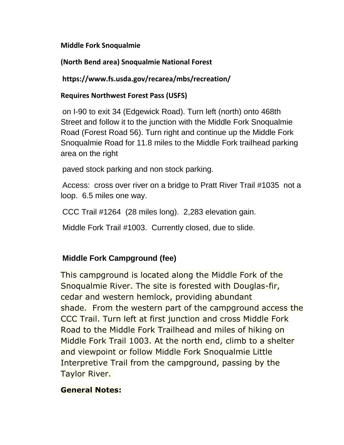#### **Middle Fork Snoqualmie**

## **(North Bend area) Snoqualmie National Forest**

**https://www.fs.usda.gov/recarea/mbs/recreation/**

### **Requires Northwest Forest Pass (USFS)**

on I-90 to exit 34 (Edgewick Road). Turn left (north) onto 468th Street and follow it to the junction with the Middle Fork Snoqualmie Road (Forest Road 56). Turn right and continue up the Middle Fork Snoqualmie Road for 11.8 miles to the Middle Fork trailhead parking area on the right

paved stock parking and non stock parking.

Access: cross over river on a bridge to Pratt River Trail #1035 not a loop. 6.5 miles one way.

CCC Trail #1264 (28 miles long). 2,283 elevation gain.

Middle Fork Trail #1003. Currently closed, due to slide.

# **Middle Fork Campground (fee)**

This campground is located along the Middle Fork of the Snoqualmie River. The site is forested with Douglas-fir, cedar and western hemlock, providing abundant shade. From the western part of the campground access the CCC Trail. Turn left at first junction and cross Middle Fork Road to the Middle Fork Trailhead and miles of hiking on Middle Fork Trail 1003. At the north end, climb to a shelter and viewpoint or follow Middle Fork Snoqualmie Little Interpretive Trail from the campground, passing by the Taylor River.

### **General Notes:**